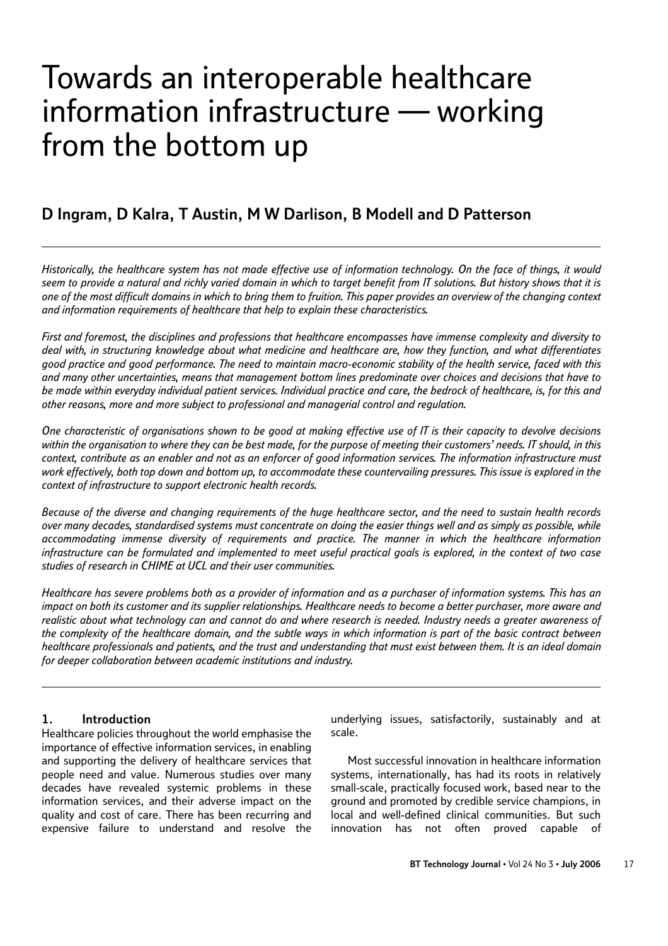# Towards an interoperable healthcare information infrastructure — working from the bottom up

# **D Ingram, D Kalra, T Austin, M W Darlison, B Modell and D Patterson**

*Historically, the healthcare system has not made effective use of information technology. On the face of things, it would seem to provide a natural and richly varied domain in which to target benefit from IT solutions. But history shows that it is one of the most difficult domains in which to bring them to fruition. This paper provides an overview of the changing context and information requirements of healthcare that help to explain these characteristics.*

*First and foremost, the disciplines and professions that healthcare encompasses have immense complexity and diversity to deal with, in structuring knowledge about what medicine and healthcare are, how they function, and what differentiates good practice and good performance. The need to maintain macro-economic stability of the health service, faced with this and many other uncertainties, means that management bottom lines predominate over choices and decisions that have to be made within everyday individual patient services. Individual practice and care, the bedrock of healthcare, is, for this and other reasons, more and more subject to professional and managerial control and regulation.*

*One characteristic of organisations shown to be good at making effective use of IT is their capacity to devolve decisions within the organisation to where they can be best made, for the purpose of meeting their customers' needs. IT should, in this context, contribute as an enabler and not as an enforcer of good information services. The information infrastructure must work effectively, both top down and bottom up, to accommodate these countervailing pressures. This issue is explored in the context of infrastructure to support electronic health records.*

*Because of the diverse and changing requirements of the huge healthcare sector, and the need to sustain health records over many decades, standardised systems must concentrate on doing the easier things well and as simply as possible, while accommodating immense diversity of requirements and practice. The manner in which the healthcare information infrastructure can be formulated and implemented to meet useful practical goals is explored, in the context of two case studies of research in CHIME at UCL and their user communities.*

*Healthcare has severe problems both as a provider of information and as a purchaser of information systems. This has an impact on both its customer and its supplier relationships. Healthcare needs to become a better purchaser, more aware and realistic about what technology can and cannot do and where research is needed. Industry needs a greater awareness of the complexity of the healthcare domain, and the subtle ways in which information is part of the basic contract between healthcare professionals and patients, and the trust and understanding that must exist between them. It is an ideal domain for deeper collaboration between academic institutions and industry.*

## **1. Introduction**

Healthcare policies throughout the world emphasise the importance of effective information services, in enabling and supporting the delivery of healthcare services that people need and value. Numerous studies over many decades have revealed systemic problems in these information services, and their adverse impact on the quality and cost of care. There has been recurring and expensive failure to understand and resolve the

underlying issues, satisfactorily, sustainably and at scale.

Most successful innovation in healthcare information systems, internationally, has had its roots in relatively small-scale, practically focused work, based near to the ground and promoted by credible service champions, in local and well-defined clinical communities. But such innovation has not often proved capable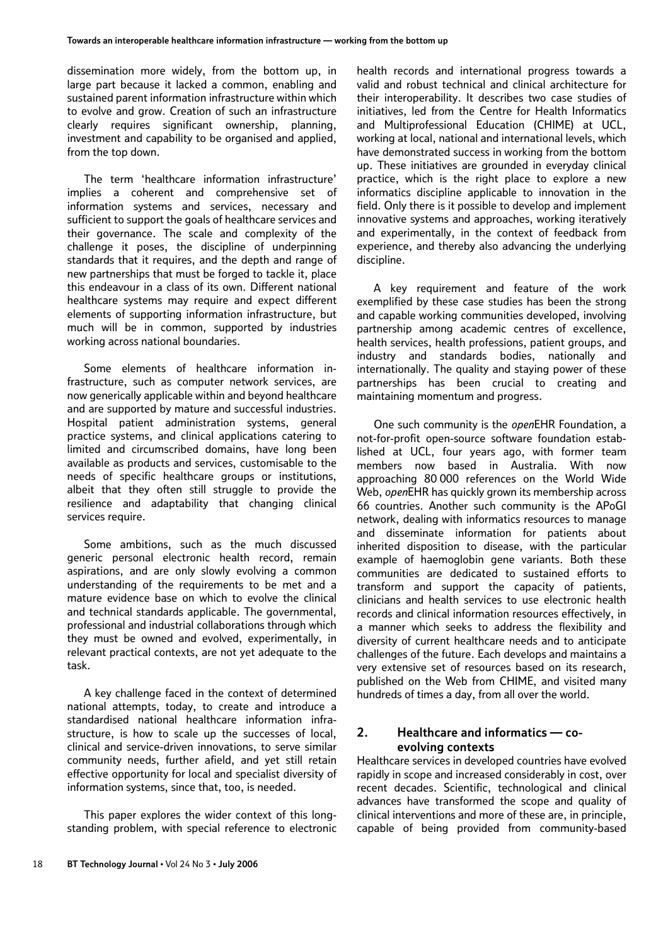dissemination more widely, from the bottom up, in large part because it lacked a common, enabling and sustained parent information infrastructure within which to evolve and grow. Creation of such an infrastructure clearly requires significant ownership, planning, investment and capability to be organised and applied, from the top down.

The term 'healthcare information infrastructure' implies a coherent and comprehensive set of information systems and services, necessary and sufficient to support the goals of healthcare services and their governance. The scale and complexity of the challenge it poses, the discipline of underpinning standards that it requires, and the depth and range of new partnerships that must be forged to tackle it, place this endeavour in a class of its own. Different national healthcare systems may require and expect different elements of supporting information infrastructure, but much will be in common, supported by industries working across national boundaries.

Some elements of healthcare information infrastructure, such as computer network services, are now generically applicable within and beyond healthcare and are supported by mature and successful industries. Hospital patient administration systems, general practice systems, and clinical applications catering to limited and circumscribed domains, have long been available as products and services, customisable to the needs of specific healthcare groups or institutions, albeit that they often still struggle to provide the resilience and adaptability that changing clinical services require.

Some ambitions, such as the much discussed generic personal electronic health record, remain aspirations, and are only slowly evolving a common understanding of the requirements to be met and a mature evidence base on which to evolve the clinical and technical standards applicable. The governmental, professional and industrial collaborations through which they must be owned and evolved, experimentally, in relevant practical contexts, are not yet adequate to the task.

A key challenge faced in the context of determined national attempts, today, to create and introduce a standardised national healthcare information infrastructure, is how to scale up the successes of local, clinical and service-driven innovations, to serve similar community needs, further afield, and yet still retain effective opportunity for local and specialist diversity of information systems, since that, too, is needed.

This paper explores the wider context of this longstanding problem, with special reference to electronic health records and international progress towards a valid and robust technical and clinical architecture for their interoperability. It describes two case studies of initiatives, led from the Centre for Health Informatics and Multiprofessional Education (CHIME) at UCL, working at local, national and international levels, which have demonstrated success in working from the bottom up. These initiatives are grounded in everyday clinical practice, which is the right place to explore a new informatics discipline applicable to innovation in the field. Only there is it possible to develop and implement innovative systems and approaches, working iteratively and experimentally, in the context of feedback from experience, and thereby also advancing the underlying discipline.

A key requirement and feature of the work exemplified by these case studies has been the strong and capable working communities developed, involving partnership among academic centres of excellence, health services, health professions, patient groups, and industry and standards bodies, nationally and internationally. The quality and staying power of these partnerships has been crucial to creating and maintaining momentum and progress.

One such community is the *open*EHR Foundation, a not-for-profit open-source software foundation established at UCL, four years ago, with former team members now based in Australia. With now approaching 80 000 references on the World Wide Web, *open*EHR has quickly grown its membership across 66 countries. Another such community is the APoGI network, dealing with informatics resources to manage and disseminate information for patients about inherited disposition to disease, with the particular example of haemoglobin gene variants. Both these communities are dedicated to sustained efforts to transform and support the capacity of patients, clinicians and health services to use electronic health records and clinical information resources effectively, in a manner which seeks to address the flexibility and diversity of current healthcare needs and to anticipate challenges of the future. Each develops and maintains a very extensive set of resources based on its research, published on the Web from CHIME, and visited many hundreds of times a day, from all over the world.

# **2. Healthcare and informatics — coevolving contexts**

Healthcare services in developed countries have evolved rapidly in scope and increased considerably in cost, over recent decades. Scientific, technological and clinical advances have transformed the scope and quality of clinical interventions and more of these are, in principle, capable of being provided from community-based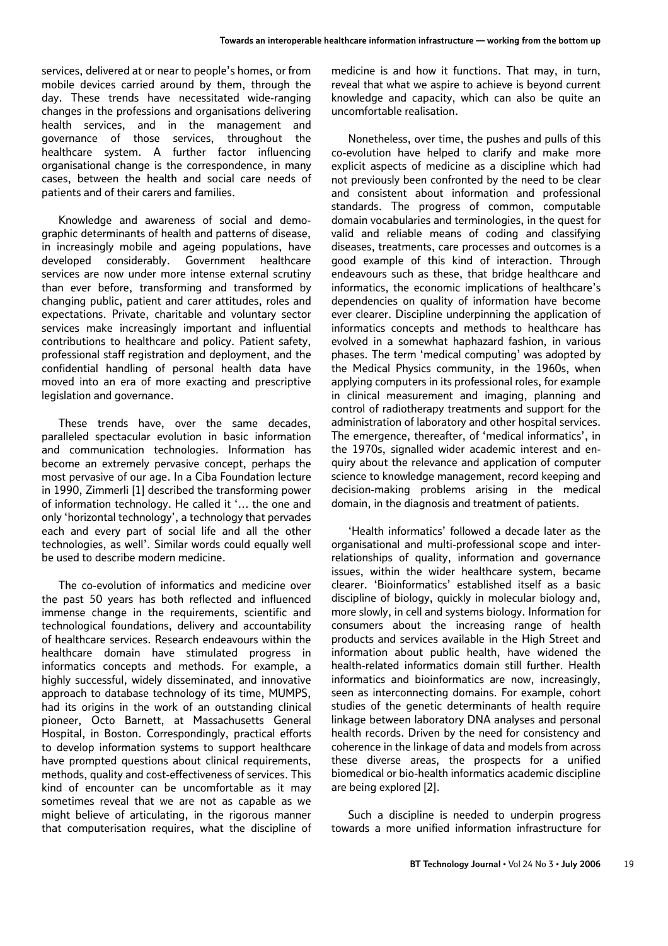services, delivered at or near to people's homes, or from mobile devices carried around by them, through the day. These trends have necessitated wide-ranging changes in the professions and organisations delivering health services, and in the management and governance of those services, throughout the healthcare system. A further factor influencing organisational change is the correspondence, in many cases, between the health and social care needs of patients and of their carers and families.

Knowledge and awareness of social and demographic determinants of health and patterns of disease, in increasingly mobile and ageing populations, have developed considerably. Government healthcare services are now under more intense external scrutiny than ever before, transforming and transformed by changing public, patient and carer attitudes, roles and expectations. Private, charitable and voluntary sector services make increasingly important and influential contributions to healthcare and policy. Patient safety, professional staff registration and deployment, and the confidential handling of personal health data have moved into an era of more exacting and prescriptive legislation and governance.

These trends have, over the same decades, paralleled spectacular evolution in basic information and communication technologies. Information has become an extremely pervasive concept, perhaps the most pervasive of our age. In a Ciba Foundation lecture in 1990, Zimmerli [1] described the transforming power of information technology. He called it '... the one and only 'horizontal technology', a technology that pervades each and every part of social life and all the other technologies, as well'. Similar words could equally well be used to describe modern medicine.

The co-evolution of informatics and medicine over the past 50 years has both reflected and influenced immense change in the requirements, scientific and technological foundations, delivery and accountability of healthcare services. Research endeavours within the healthcare domain have stimulated progress in informatics concepts and methods. For example, a highly successful, widely disseminated, and innovative approach to database technology of its time, MUMPS, had its origins in the work of an outstanding clinical pioneer, Octo Barnett, at Massachusetts General Hospital, in Boston. Correspondingly, practical efforts to develop information systems to support healthcare have prompted questions about clinical requirements, methods, quality and cost-effectiveness of services. This kind of encounter can be uncomfortable as it may sometimes reveal that we are not as capable as we might believe of articulating, in the rigorous manner that computerisation requires, what the discipline of medicine is and how it functions. That may, in turn, reveal that what we aspire to achieve is beyond current knowledge and capacity, which can also be quite an uncomfortable realisation.

Nonetheless, over time, the pushes and pulls of this co-evolution have helped to clarify and make more explicit aspects of medicine as a discipline which had not previously been confronted by the need to be clear and consistent about information and professional standards. The progress of common, computable domain vocabularies and terminologies, in the quest for valid and reliable means of coding and classifying diseases, treatments, care processes and outcomes is a good example of this kind of interaction. Through endeavours such as these, that bridge healthcare and informatics, the economic implications of healthcare's dependencies on quality of information have become ever clearer. Discipline underpinning the application of informatics concepts and methods to healthcare has evolved in a somewhat haphazard fashion, in various phases. The term 'medical computing' was adopted by the Medical Physics community, in the 1960s, when applying computers in its professional roles, for example in clinical measurement and imaging, planning and control of radiotherapy treatments and support for the administration of laboratory and other hospital services. The emergence, thereafter, of 'medical informatics', in the 1970s, signalled wider academic interest and enquiry about the relevance and application of computer science to knowledge management, record keeping and decision-making problems arising in the medical domain, in the diagnosis and treatment of patients.

'Health informatics' followed a decade later as the organisational and multi-professional scope and interrelationships of quality, information and governance issues, within the wider healthcare system, became clearer. 'Bioinformatics' established itself as a basic discipline of biology, quickly in molecular biology and, more slowly, in cell and systems biology. Information for consumers about the increasing range of health products and services available in the High Street and information about public health, have widened the health-related informatics domain still further. Health informatics and bioinformatics are now, increasingly, seen as interconnecting domains. For example, cohort studies of the genetic determinants of health require linkage between laboratory DNA analyses and personal health records. Driven by the need for consistency and coherence in the linkage of data and models from across these diverse areas, the prospects for a unified biomedical or bio-health informatics academic discipline are being explored [2].

Such a discipline is needed to underpin progress towards a more unified information infrastructure for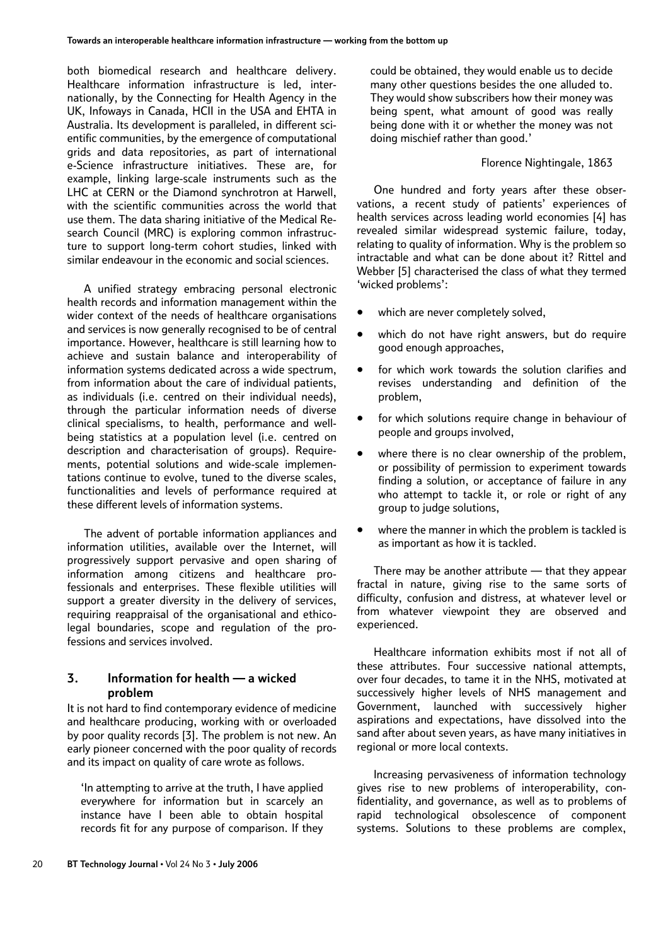both biomedical research and healthcare delivery. Healthcare information infrastructure is led, internationally, by the Connecting for Health Agency in the UK, Infoways in Canada, HCII in the USA and EHTA in Australia. Its development is paralleled, in different scientific communities, by the emergence of computational grids and data repositories, as part of international e-Science infrastructure initiatives. These are, for example, linking large-scale instruments such as the LHC at CERN or the Diamond synchrotron at Harwell, with the scientific communities across the world that use them. The data sharing initiative of the Medical Research Council (MRC) is exploring common infrastructure to support long-term cohort studies, linked with similar endeavour in the economic and social sciences.

A unified strategy embracing personal electronic health records and information management within the wider context of the needs of healthcare organisations and services is now generally recognised to be of central importance. However, healthcare is still learning how to achieve and sustain balance and interoperability of information systems dedicated across a wide spectrum, from information about the care of individual patients, as individuals (i.e. centred on their individual needs), through the particular information needs of diverse clinical specialisms, to health, performance and wellbeing statistics at a population level (i.e. centred on description and characterisation of groups). Requirements, potential solutions and wide-scale implementations continue to evolve, tuned to the diverse scales, functionalities and levels of performance required at these different levels of information systems.

The advent of portable information appliances and information utilities, available over the Internet, will progressively support pervasive and open sharing of information among citizens and healthcare professionals and enterprises. These flexible utilities will support a greater diversity in the delivery of services, requiring reappraisal of the organisational and ethicolegal boundaries, scope and regulation of the professions and services involved.

## **3. Information for health — a wicked problem**

It is not hard to find contemporary evidence of medicine and healthcare producing, working with or overloaded by poor quality records [3]. The problem is not new. An early pioneer concerned with the poor quality of records and its impact on quality of care wrote as follows.

'In attempting to arrive at the truth, I have applied everywhere for information but in scarcely an instance have I been able to obtain hospital records fit for any purpose of comparison. If they

could be obtained, they would enable us to decide many other questions besides the one alluded to. They would show subscribers how their money was being spent, what amount of good was really being done with it or whether the money was not doing mischief rather than good.'

#### Florence Nightingale, 1863

One hundred and forty years after these observations, a recent study of patients' experiences of health services across leading world economies [4] has revealed similar widespread systemic failure, today, relating to quality of information. Why is the problem so intractable and what can be done about it? Rittel and Webber [5] characterised the class of what they termed 'wicked problems':

- which are never completely solved,
- which do not have right answers, but do require good enough approaches,
- for which work towards the solution clarifies and revises understanding and definition of the problem,
- for which solutions require change in behaviour of people and groups involved,
- where there is no clear ownership of the problem, or possibility of permission to experiment towards finding a solution, or acceptance of failure in any who attempt to tackle it, or role or right of any group to judge solutions,
- where the manner in which the problem is tackled is as important as how it is tackled.

There may be another attribute  $-$  that they appear fractal in nature, giving rise to the same sorts of difficulty, confusion and distress, at whatever level or from whatever viewpoint they are observed and experienced.

Healthcare information exhibits most if not all of these attributes. Four successive national attempts, over four decades, to tame it in the NHS, motivated at successively higher levels of NHS management and Government, launched with successively higher aspirations and expectations, have dissolved into the sand after about seven years, as have many initiatives in regional or more local contexts.

Increasing pervasiveness of information technology gives rise to new problems of interoperability, confidentiality, and governance, as well as to problems of rapid technological obsolescence of component systems. Solutions to these problems are complex,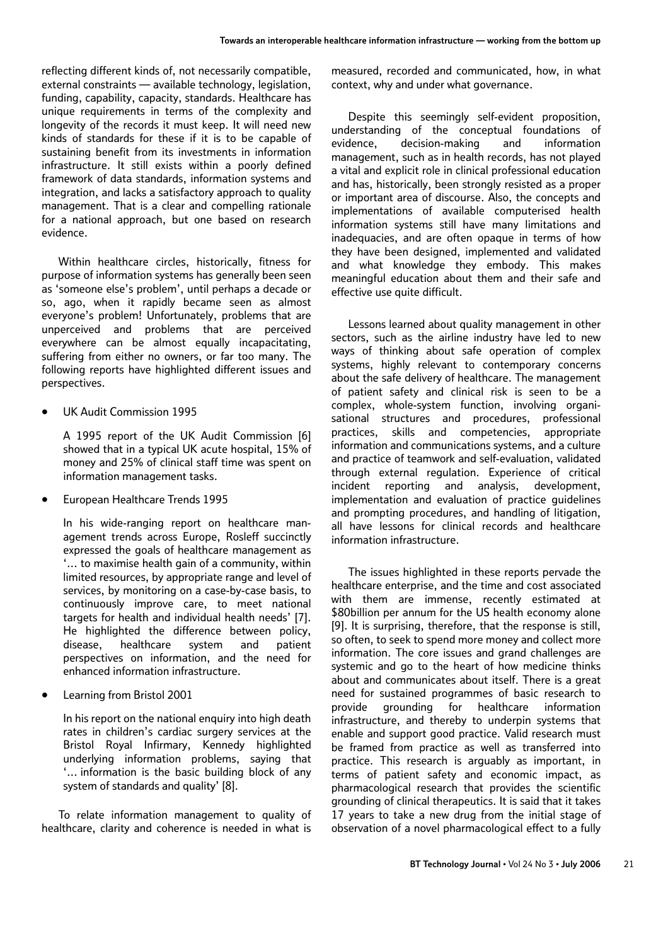reflecting different kinds of, not necessarily compatible, external constraints — available technology, legislation, funding, capability, capacity, standards. Healthcare has unique requirements in terms of the complexity and longevity of the records it must keep. It will need new kinds of standards for these if it is to be capable of sustaining benefit from its investments in information infrastructure. It still exists within a poorly defined framework of data standards, information systems and integration, and lacks a satisfactory approach to quality management. That is a clear and compelling rationale for a national approach, but one based on research evidence.

Within healthcare circles, historically, fitness for purpose of information systems has generally been seen as 'someone else's problem', until perhaps a decade or so, ago, when it rapidly became seen as almost everyone's problem! Unfortunately, problems that are unperceived and problems that are perceived everywhere can be almost equally incapacitating, suffering from either no owners, or far too many. The following reports have highlighted different issues and perspectives.

• UK Audit Commission 1995

A 1995 report of the UK Audit Commission [6] showed that in a typical UK acute hospital, 15% of money and 25% of clinical staff time was spent on information management tasks.

• European Healthcare Trends 1995

In his wide-ranging report on healthcare management trends across Europe, Rosleff succinctly expressed the goals of healthcare management as '... to maximise health gain of a community, within limited resources, by appropriate range and level of services, by monitoring on a case-by-case basis, to continuously improve care, to meet national targets for health and individual health needs' [7]. He highlighted the difference between policy, disease, healthcare system and patient perspectives on information, and the need for enhanced information infrastructure.

• Learning from Bristol 2001

In his report on the national enquiry into high death rates in children's cardiac surgery services at the Bristol Royal Infirmary, Kennedy highlighted underlying information problems, saying that '... information is the basic building block of any system of standards and quality' [8].

To relate information management to quality of healthcare, clarity and coherence is needed in what is

measured, recorded and communicated, how, in what context, why and under what governance.

Despite this seemingly self-evident proposition, understanding of the conceptual foundations of evidence, decision-making and information management, such as in health records, has not played a vital and explicit role in clinical professional education and has, historically, been strongly resisted as a proper or important area of discourse. Also, the concepts and implementations of available computerised health information systems still have many limitations and inadequacies, and are often opaque in terms of how they have been designed, implemented and validated and what knowledge they embody. This makes meaningful education about them and their safe and effective use quite difficult.

Lessons learned about quality management in other sectors, such as the airline industry have led to new ways of thinking about safe operation of complex systems, highly relevant to contemporary concerns about the safe delivery of healthcare. The management of patient safety and clinical risk is seen to be a complex, whole-system function, involving organisational structures and procedures, professional practices, skills and competencies, appropriate information and communications systems, and a culture and practice of teamwork and self-evaluation, validated through external regulation. Experience of critical incident reporting and analysis, development, implementation and evaluation of practice guidelines and prompting procedures, and handling of litigation, all have lessons for clinical records and healthcare information infrastructure.

The issues highlighted in these reports pervade the healthcare enterprise, and the time and cost associated with them are immense, recently estimated at \$80billion per annum for the US health economy alone [9]. It is surprising, therefore, that the response is still, so often, to seek to spend more money and collect more information. The core issues and grand challenges are systemic and go to the heart of how medicine thinks about and communicates about itself. There is a great need for sustained programmes of basic research to provide grounding for healthcare information infrastructure, and thereby to underpin systems that enable and support good practice. Valid research must be framed from practice as well as transferred into practice. This research is arguably as important, in terms of patient safety and economic impact, as pharmacological research that provides the scientific grounding of clinical therapeutics. It is said that it takes 17 years to take a new drug from the initial stage of observation of a novel pharmacological effect to a fully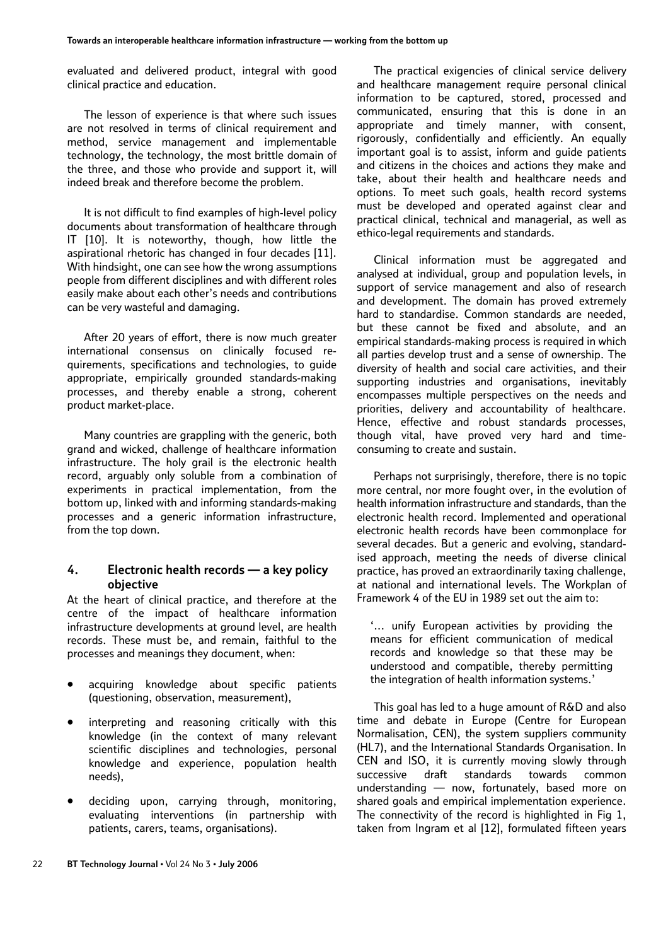evaluated and delivered product, integral with good clinical practice and education.

The lesson of experience is that where such issues are not resolved in terms of clinical requirement and method, service management and implementable technology, the technology, the most brittle domain of the three, and those who provide and support it, will indeed break and therefore become the problem.

It is not difficult to find examples of high-level policy documents about transformation of healthcare through IT [10]. It is noteworthy, though, how little the aspirational rhetoric has changed in four decades [11]. With hindsight, one can see how the wrong assumptions people from different disciplines and with different roles easily make about each other's needs and contributions can be very wasteful and damaging.

After 20 years of effort, there is now much greater international consensus on clinically focused requirements, specifications and technologies, to guide appropriate, empirically grounded standards-making processes, and thereby enable a strong, coherent product market-place.

Many countries are grappling with the generic, both grand and wicked, challenge of healthcare information infrastructure. The holy grail is the electronic health record, arguably only soluble from a combination of experiments in practical implementation, from the bottom up, linked with and informing standards-making processes and a generic information infrastructure, from the top down.

# **4. Electronic health records — a key policy objective**

At the heart of clinical practice, and therefore at the centre of the impact of healthcare information infrastructure developments at ground level, are health records. These must be, and remain, faithful to the processes and meanings they document, when:

- acquiring knowledge about specific patients (questioning, observation, measurement),
- interpreting and reasoning critically with this knowledge (in the context of many relevant scientific disciplines and technologies, personal knowledge and experience, population health needs),
- deciding upon, carrying through, monitoring, evaluating interventions (in partnership with patients, carers, teams, organisations).

The practical exigencies of clinical service delivery and healthcare management require personal clinical information to be captured, stored, processed and communicated, ensuring that this is done in an appropriate and timely manner, with consent, rigorously, confidentially and efficiently. An equally important goal is to assist, inform and guide patients and citizens in the choices and actions they make and take, about their health and healthcare needs and options. To meet such goals, health record systems must be developed and operated against clear and practical clinical, technical and managerial, as well as ethico-legal requirements and standards.

Clinical information must be aggregated and analysed at individual, group and population levels, in support of service management and also of research and development. The domain has proved extremely hard to standardise. Common standards are needed, but these cannot be fixed and absolute, and an empirical standards-making process is required in which all parties develop trust and a sense of ownership. The diversity of health and social care activities, and their supporting industries and organisations, inevitably encompasses multiple perspectives on the needs and priorities, delivery and accountability of healthcare. Hence, effective and robust standards processes, though vital, have proved very hard and timeconsuming to create and sustain.

Perhaps not surprisingly, therefore, there is no topic more central, nor more fought over, in the evolution of health information infrastructure and standards, than the electronic health record. Implemented and operational electronic health records have been commonplace for several decades. But a generic and evolving, standardised approach, meeting the needs of diverse clinical practice, has proved an extraordinarily taxing challenge, at national and international levels. The Workplan of Framework 4 of the EU in 1989 set out the aim to:

'... unify European activities by providing the means for efficient communication of medical records and knowledge so that these may be understood and compatible, thereby permitting the integration of health information systems.'

This goal has led to a huge amount of R&D and also time and debate in Europe (Centre for European Normalisation, CEN), the system suppliers community (HL7), and the International Standards Organisation. In CEN and ISO, it is currently moving slowly through successive draft standards towards common understanding — now, fortunately, based more on shared goals and empirical implementation experience. The connectivity of the record is highlighted in Fig 1, taken from Ingram et al [12], formulated fifteen years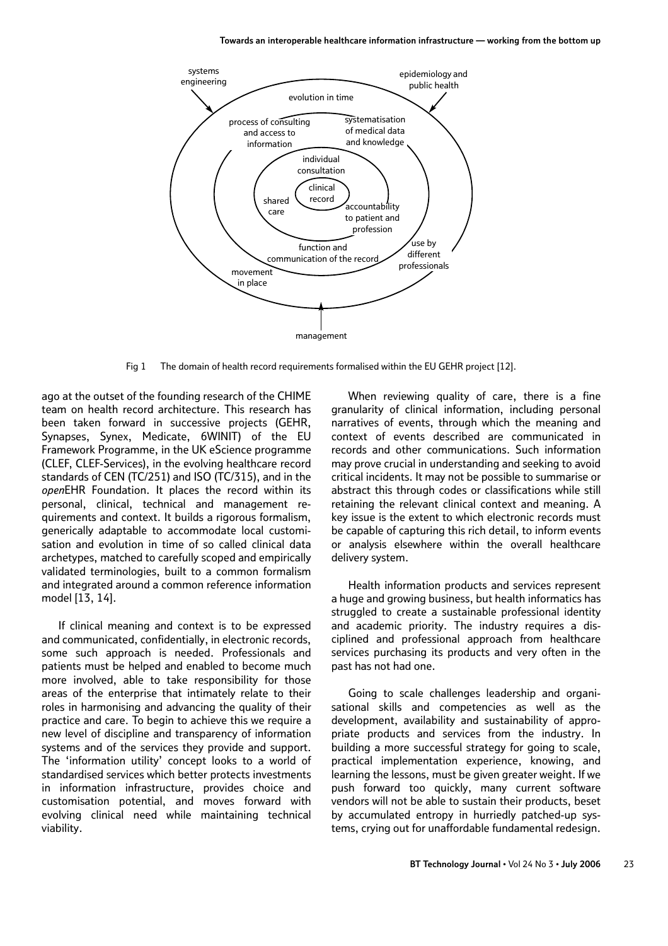

Fig 1 The domain of health record requirements formalised within the EU GEHR project [12].

ago at the outset of the founding research of the CHIME team on health record architecture. This research has been taken forward in successive projects (GEHR, Synapses, Synex, Medicate, 6WINIT) of the EU Framework Programme, in the UK eScience programme (CLEF, CLEF-Services), in the evolving healthcare record standards of CEN (TC/251) and ISO (TC/315), and in the *open*EHR Foundation. It places the record within its personal, clinical, technical and management requirements and context. It builds a rigorous formalism, generically adaptable to accommodate local customisation and evolution in time of so called clinical data archetypes, matched to carefully scoped and empirically validated terminologies, built to a common formalism and integrated around a common reference information model [13, 14].

If clinical meaning and context is to be expressed and communicated, confidentially, in electronic records, some such approach is needed. Professionals and patients must be helped and enabled to become much more involved, able to take responsibility for those areas of the enterprise that intimately relate to their roles in harmonising and advancing the quality of their practice and care. To begin to achieve this we require a new level of discipline and transparency of information systems and of the services they provide and support. The 'information utility' concept looks to a world of standardised services which better protects investments in information infrastructure, provides choice and customisation potential, and moves forward with evolving clinical need while maintaining technical viability.

When reviewing quality of care, there is a fine granularity of clinical information, including personal narratives of events, through which the meaning and context of events described are communicated in records and other communications. Such information may prove crucial in understanding and seeking to avoid critical incidents. It may not be possible to summarise or abstract this through codes or classifications while still retaining the relevant clinical context and meaning. A key issue is the extent to which electronic records must be capable of capturing this rich detail, to inform events or analysis elsewhere within the overall healthcare delivery system.

Health information products and services represent a huge and growing business, but health informatics has struggled to create a sustainable professional identity and academic priority. The industry requires a disciplined and professional approach from healthcare services purchasing its products and very often in the past has not had one.

Going to scale challenges leadership and organisational skills and competencies as well as the development, availability and sustainability of appropriate products and services from the industry. In building a more successful strategy for going to scale, practical implementation experience, knowing, and learning the lessons, must be given greater weight. If we push forward too quickly, many current software vendors will not be able to sustain their products, beset by accumulated entropy in hurriedly patched-up systems, crying out for unaffordable fundamental redesign.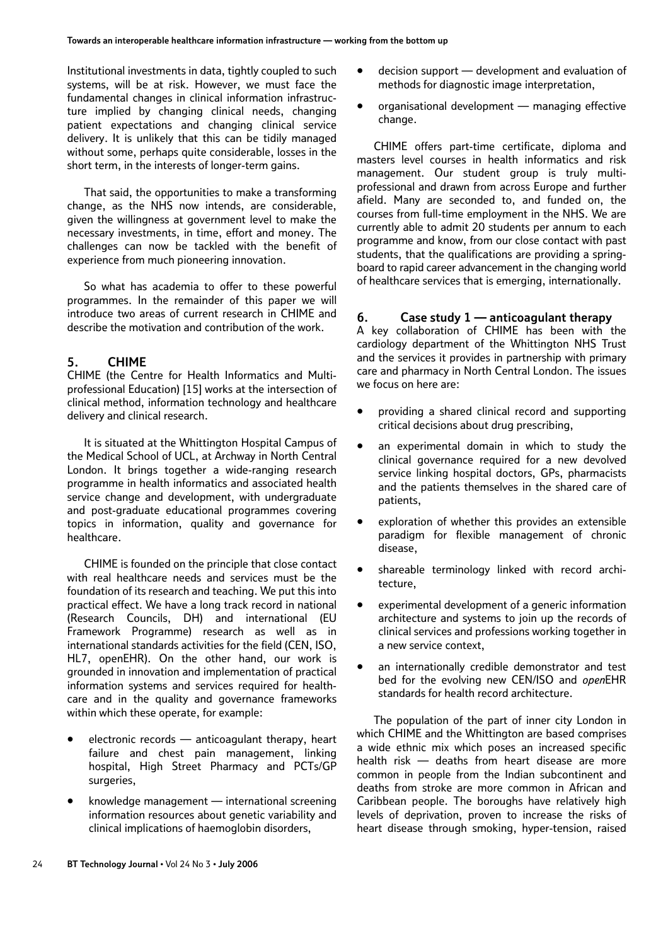Institutional investments in data, tightly coupled to such systems, will be at risk. However, we must face the fundamental changes in clinical information infrastructure implied by changing clinical needs, changing patient expectations and changing clinical service delivery. It is unlikely that this can be tidily managed without some, perhaps quite considerable, losses in the short term, in the interests of longer-term gains.

That said, the opportunities to make a transforming change, as the NHS now intends, are considerable, given the willingness at government level to make the necessary investments, in time, effort and money. The challenges can now be tackled with the benefit of experience from much pioneering innovation.

So what has academia to offer to these powerful programmes. In the remainder of this paper we will introduce two areas of current research in CHIME and describe the motivation and contribution of the work.

# **5. CHIME**

CHIME (the Centre for Health Informatics and Multiprofessional Education) [15] works at the intersection of clinical method, information technology and healthcare delivery and clinical research.

It is situated at the Whittington Hospital Campus of the Medical School of UCL, at Archway in North Central London. It brings together a wide-ranging research programme in health informatics and associated health service change and development, with undergraduate and post-graduate educational programmes covering topics in information, quality and governance for healthcare.

CHIME is founded on the principle that close contact with real healthcare needs and services must be the foundation of its research and teaching. We put this into practical effect. We have a long track record in national (Research Councils, DH) and international (EU Framework Programme) research as well as in international standards activities for the field (CEN, ISO, HL7, openEHR). On the other hand, our work is grounded in innovation and implementation of practical information systems and services required for healthcare and in the quality and governance frameworks within which these operate, for example:

- electronic records anticoagulant therapy, heart failure and chest pain management, linking hospital, High Street Pharmacy and PCTs/GP surgeries,
- $k$ nowledge management  $-$  international screening information resources about genetic variability and clinical implications of haemoglobin disorders,
- decision support development and evaluation of methods for diagnostic image interpretation,
- organisational development managing effective change.

CHIME offers part-time certificate, diploma and masters level courses in health informatics and risk management. Our student group is truly multiprofessional and drawn from across Europe and further afield. Many are seconded to, and funded on, the courses from full-time employment in the NHS. We are currently able to admit 20 students per annum to each programme and know, from our close contact with past students, that the qualifications are providing a springboard to rapid career advancement in the changing world of healthcare services that is emerging, internationally.

# **6. Case study 1 — anticoagulant therapy**

A key collaboration of CHIME has been with the cardiology department of the Whittington NHS Trust and the services it provides in partnership with primary care and pharmacy in North Central London. The issues we focus on here are:

- providing a shared clinical record and supporting critical decisions about drug prescribing,
- an experimental domain in which to study the clinical governance required for a new devolved service linking hospital doctors, GPs, pharmacists and the patients themselves in the shared care of patients,
- exploration of whether this provides an extensible paradigm for flexible management of chronic disease,
- shareable terminology linked with record architecture,
- experimental development of a generic information architecture and systems to join up the records of clinical services and professions working together in a new service context,
- an internationally credible demonstrator and test bed for the evolving new CEN/ISO and *open*EHR standards for health record architecture.

The population of the part of inner city London in which CHIME and the Whittington are based comprises a wide ethnic mix which poses an increased specific health risk — deaths from heart disease are more common in people from the Indian subcontinent and deaths from stroke are more common in African and Caribbean people. The boroughs have relatively high levels of deprivation, proven to increase the risks of heart disease through smoking, hyper-tension, raised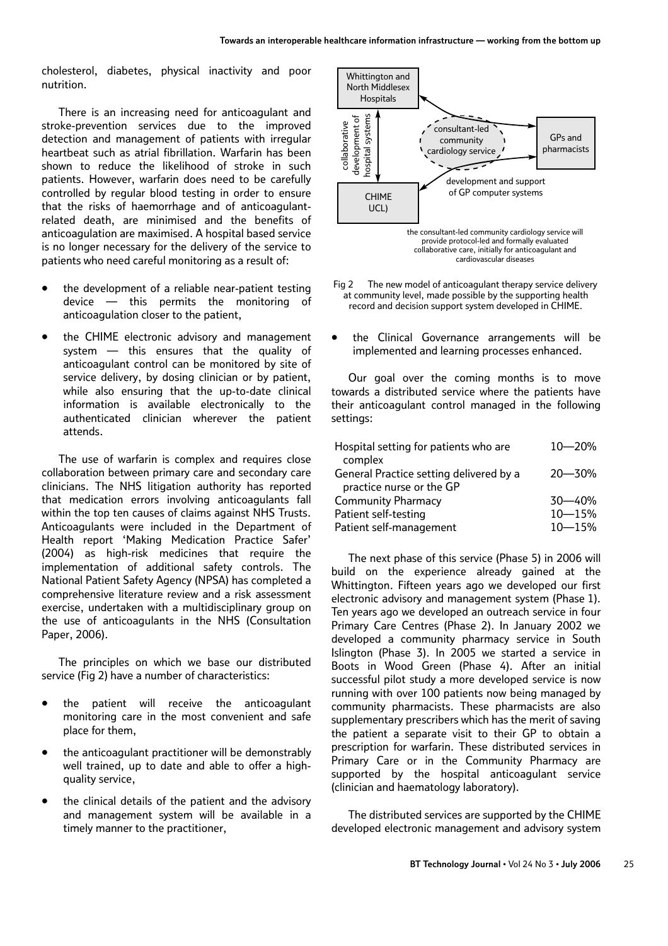cholesterol, diabetes, physical inactivity and poor nutrition.

There is an increasing need for anticoagulant and stroke-prevention services due to the improved detection and management of patients with irregular heartbeat such as atrial fibrillation. Warfarin has been shown to reduce the likelihood of stroke in such patients. However, warfarin does need to be carefully controlled by regular blood testing in order to ensure that the risks of haemorrhage and of anticoagulantrelated death, are minimised and the benefits of anticoagulation are maximised. A hospital based service is no longer necessary for the delivery of the service to patients who need careful monitoring as a result of:

- the development of a reliable near-patient testing device — this permits the monitoring of anticoagulation closer to the patient,
- the CHIME electronic advisory and management system — this ensures that the quality of anticoagulant control can be monitored by site of service delivery, by dosing clinician or by patient, while also ensuring that the up-to-date clinical information is available electronically to the authenticated clinician wherever the patient attends.

The use of warfarin is complex and requires close collaboration between primary care and secondary care clinicians. The NHS litigation authority has reported that medication errors involving anticoagulants fall within the top ten causes of claims against NHS Trusts. Anticoagulants were included in the Department of Health report 'Making Medication Practice Safer' (2004) as high-risk medicines that require the implementation of additional safety controls. The National Patient Safety Agency (NPSA) has completed a comprehensive literature review and a risk assessment exercise, undertaken with a multidisciplinary group on the use of anticoagulants in the NHS (Consultation Paper, 2006).

The principles on which we base our distributed service (Fig 2) have a number of characteristics:

- the patient will receive the anticoagulant monitoring care in the most convenient and safe place for them,
- the anticoagulant practitioner will be demonstrably well trained, up to date and able to offer a highquality service,
- the clinical details of the patient and the advisory and management system will be available in a timely manner to the practitioner,



Fig 2 The new model of anticoagulant therapy service delivery at community level, made possible by the supporting health record and decision support system developed in CHIME.

• the Clinical Governance arrangements will be implemented and learning processes enhanced.

Our goal over the coming months is to move towards a distributed service where the patients have their anticoagulant control managed in the following settings:

| Hospital setting for patients who are   | $10 - 20%$ |
|-----------------------------------------|------------|
| complex                                 |            |
| General Practice setting delivered by a | $20 - 30%$ |
| practice nurse or the GP                |            |
| <b>Community Pharmacy</b>               | $30 - 40%$ |
| Patient self-testing                    | $10 - 15%$ |
| Patient self-management                 | $10 - 15%$ |
|                                         |            |

The next phase of this service (Phase 5) in 2006 will build on the experience already gained at the Whittington. Fifteen years ago we developed our first electronic advisory and management system (Phase 1). Ten years ago we developed an outreach service in four Primary Care Centres (Phase 2). In January 2002 we developed a community pharmacy service in South Islington (Phase 3). In 2005 we started a service in Boots in Wood Green (Phase 4). After an initial successful pilot study a more developed service is now running with over 100 patients now being managed by community pharmacists. These pharmacists are also supplementary prescribers which has the merit of saving the patient a separate visit to their GP to obtain a prescription for warfarin. These distributed services in Primary Care or in the Community Pharmacy are supported by the hospital anticoagulant service (clinician and haematology laboratory).

The distributed services are supported by the CHIME developed electronic management and advisory system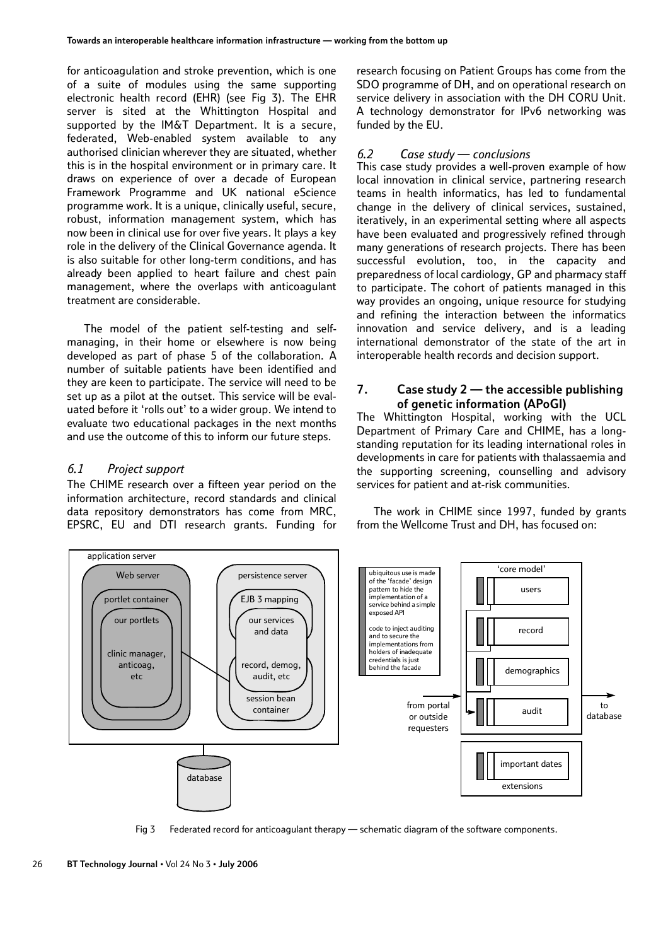for anticoagulation and stroke prevention, which is one of a suite of modules using the same supporting electronic health record (EHR) (see Fig 3). The EHR server is sited at the Whittington Hospital and supported by the IM&T Department. It is a secure, federated, Web-enabled system available to any authorised clinician wherever they are situated, whether this is in the hospital environment or in primary care. It draws on experience of over a decade of European Framework Programme and UK national eScience programme work. It is a unique, clinically useful, secure, robust, information management system, which has now been in clinical use for over five years. It plays a key role in the delivery of the Clinical Governance agenda. It is also suitable for other long-term conditions, and has already been applied to heart failure and chest pain management, where the overlaps with anticoagulant treatment are considerable.

The model of the patient self-testing and selfmanaging, in their home or elsewhere is now being developed as part of phase 5 of the collaboration. A number of suitable patients have been identified and they are keen to participate. The service will need to be set up as a pilot at the outset. This service will be evaluated before it 'rolls out' to a wider group. We intend to evaluate two educational packages in the next months and use the outcome of this to inform our future steps.

#### *6.1 Project support*

The CHIME research over a fifteen year period on the information architecture, record standards and clinical data repository demonstrators has come from MRC, EPSRC, EU and DTI research grants. Funding for research focusing on Patient Groups has come from the SDO programme of DH, and on operational research on service delivery in association with the DH CORU Unit. A technology demonstrator for IPv6 networking was funded by the EU.

#### *6.2 Case study — conclusions*

This case study provides a well-proven example of how local innovation in clinical service, partnering research teams in health informatics, has led to fundamental change in the delivery of clinical services, sustained, iteratively, in an experimental setting where all aspects have been evaluated and progressively refined through many generations of research projects. There has been successful evolution, too, in the capacity and preparedness of local cardiology, GP and pharmacy staff to participate. The cohort of patients managed in this way provides an ongoing, unique resource for studying and refining the interaction between the informatics innovation and service delivery, and is a leading international demonstrator of the state of the art in interoperable health records and decision support.

#### **7. Case study 2 — the accessible publishing of genetic information (APoGI)**

The Whittington Hospital, working with the UCL Department of Primary Care and CHIME, has a longstanding reputation for its leading international roles in developments in care for patients with thalassaemia and the supporting screening, counselling and advisory services for patient and at-risk communities.

The work in CHIME since 1997, funded by grants from the Wellcome Trust and DH, has focused on:



Fig 3 Federated record for anticoagulant therapy — schematic diagram of the software components.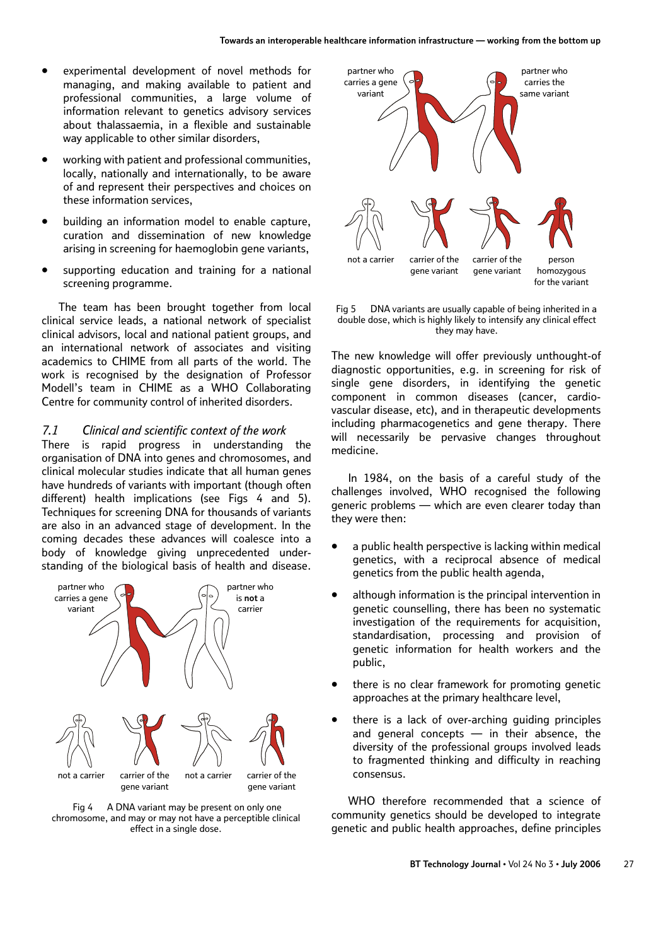- experimental development of novel methods for managing, and making available to patient and professional communities, a large volume of information relevant to genetics advisory services about thalassaemia, in a flexible and sustainable way applicable to other similar disorders,
- working with patient and professional communities, locally, nationally and internationally, to be aware of and represent their perspectives and choices on these information services,
- building an information model to enable capture, curation and dissemination of new knowledge arising in screening for haemoglobin gene variants,
- supporting education and training for a national screening programme.

The team has been brought together from local clinical service leads, a national network of specialist clinical advisors, local and national patient groups, and an international network of associates and visiting academics to CHIME from all parts of the world. The work is recognised by the designation of Professor Modell's team in CHIME as a WHO Collaborating Centre for community control of inherited disorders.

#### *7.1 Clinical and scientific context of the work*

There is rapid progress in understanding the organisation of DNA into genes and chromosomes, and clinical molecular studies indicate that all human genes have hundreds of variants with important (though often different) health implications (see Figs 4 and 5). Techniques for screening DNA for thousands of variants are also in an advanced stage of development. In the coming decades these advances will coalesce into a body of knowledge giving unprecedented understanding of the biological basis of health and disease.



 Fig 4 A DNA variant may be present on only one chromosome, and may or may not have a perceptible clinical effect in a single dose.



Fig 5 DNA variants are usually capable of being inherited in a double dose, which is highly likely to intensify any clinical effect they may have.

The new knowledge will offer previously unthought-of diagnostic opportunities, e.g. in screening for risk of single gene disorders, in identifying the genetic component in common diseases (cancer, cardiovascular disease, etc), and in therapeutic developments including pharmacogenetics and gene therapy. There will necessarily be pervasive changes throughout medicine.

In 1984, on the basis of a careful study of the challenges involved, WHO recognised the following generic problems — which are even clearer today than they were then:

- a public health perspective is lacking within medical genetics, with a reciprocal absence of medical genetics from the public health agenda,
- although information is the principal intervention in genetic counselling, there has been no systematic investigation of the requirements for acquisition, standardisation, processing and provision of genetic information for health workers and the public,
- there is no clear framework for promoting genetic approaches at the primary healthcare level,
- there is a lack of over-arching guiding principles and general concepts  $-$  in their absence, the diversity of the professional groups involved leads to fragmented thinking and difficulty in reaching consensus.

WHO therefore recommended that a science of community genetics should be developed to integrate genetic and public health approaches, define principles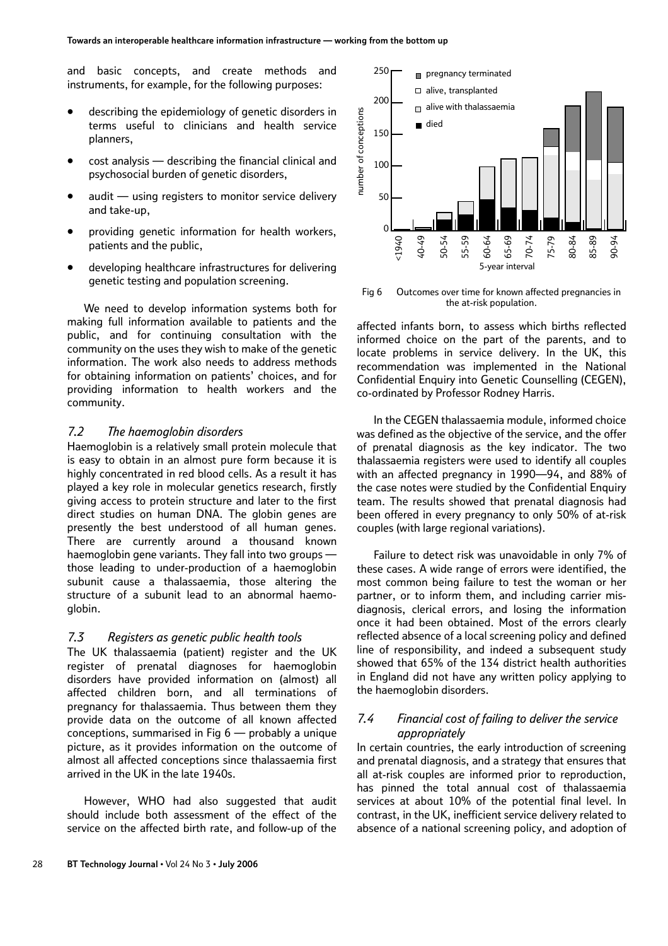and basic concepts, and create methods and instruments, for example, for the following purposes:

- describing the epidemiology of genetic disorders in terms useful to clinicians and health service planners,
- cost analysis describing the financial clinical and psychosocial burden of genetic disorders,
- audit using registers to monitor service delivery and take-up,
- providing genetic information for health workers, patients and the public,
- developing healthcare infrastructures for delivering genetic testing and population screening.

We need to develop information systems both for making full information available to patients and the public, and for continuing consultation with the community on the uses they wish to make of the genetic information. The work also needs to address methods for obtaining information on patients' choices, and for providing information to health workers and the community.

#### *7.2 The haemoglobin disorders*

Haemoglobin is a relatively small protein molecule that is easy to obtain in an almost pure form because it is highly concentrated in red blood cells. As a result it has played a key role in molecular genetics research, firstly giving access to protein structure and later to the first direct studies on human DNA. The globin genes are presently the best understood of all human genes. There are currently around a thousand known haemoglobin gene variants. They fall into two groups those leading to under-production of a haemoglobin subunit cause a thalassaemia, those altering the structure of a subunit lead to an abnormal haemoglobin.

#### *7.3 Registers as genetic public health tools*

The UK thalassaemia (patient) register and the UK register of prenatal diagnoses for haemoglobin disorders have provided information on (almost) all affected children born, and all terminations of pregnancy for thalassaemia. Thus between them they provide data on the outcome of all known affected conceptions, summarised in Fig 6 — probably a unique picture, as it provides information on the outcome of almost all affected conceptions since thalassaemia first arrived in the UK in the late 1940s.

However, WHO had also suggested that audit should include both assessment of the effect of the service on the affected birth rate, and follow-up of the



Fig 6 Outcomes over time for known affected pregnancies in the at-risk population.

affected infants born, to assess which births reflected informed choice on the part of the parents, and to locate problems in service delivery. In the UK, this recommendation was implemented in the National Confidential Enquiry into Genetic Counselling (CEGEN), co-ordinated by Professor Rodney Harris.

In the CEGEN thalassaemia module, informed choice was defined as the objective of the service, and the offer of prenatal diagnosis as the key indicator. The two thalassaemia registers were used to identify all couples with an affected pregnancy in 1990—94, and 88% of the case notes were studied by the Confidential Enquiry team. The results showed that prenatal diagnosis had been offered in every pregnancy to only 50% of at-risk couples (with large regional variations).

Failure to detect risk was unavoidable in only 7% of these cases. A wide range of errors were identified, the most common being failure to test the woman or her partner, or to inform them, and including carrier misdiagnosis, clerical errors, and losing the information once it had been obtained. Most of the errors clearly reflected absence of a local screening policy and defined line of responsibility, and indeed a subsequent study showed that 65% of the 134 district health authorities in England did not have any written policy applying to the haemoglobin disorders.

# *7.4 Financial cost of failing to deliver the service appropriately*

In certain countries, the early introduction of screening and prenatal diagnosis, and a strategy that ensures that all at-risk couples are informed prior to reproduction, has pinned the total annual cost of thalassaemia services at about 10% of the potential final level. In contrast, in the UK, inefficient service delivery related to absence of a national screening policy, and adoption of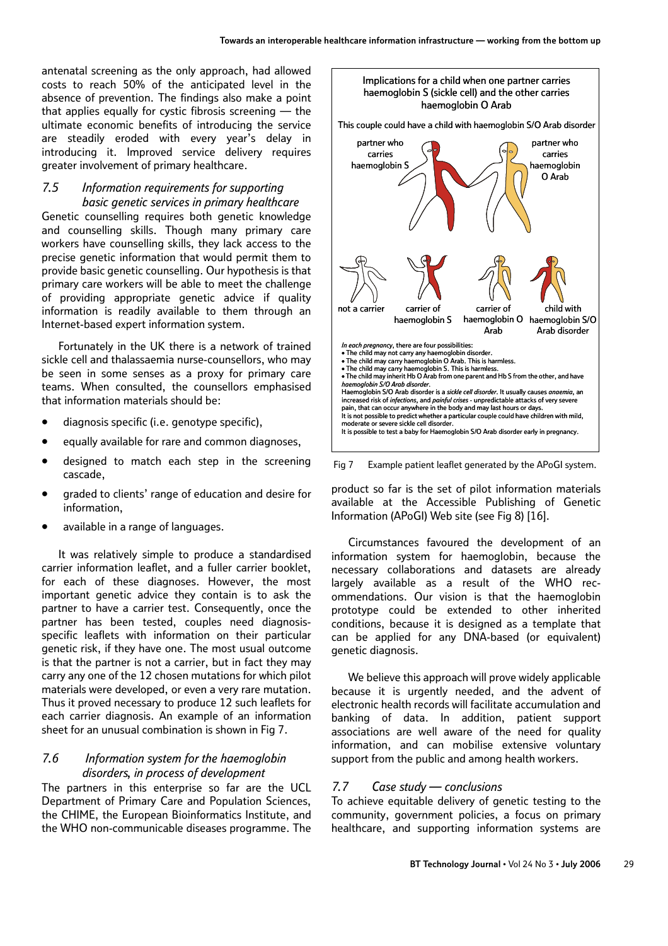antenatal screening as the only approach, had allowed costs to reach 50% of the anticipated level in the absence of prevention. The findings also make a point that applies equally for cystic fibrosis screening — the ultimate economic benefits of introducing the service are steadily eroded with every year's delay in introducing it. Improved service delivery requires greater involvement of primary healthcare.

#### *7.5 Information requirements for supporting basic genetic services in primary healthcare*

Genetic counselling requires both genetic knowledge and counselling skills. Though many primary care workers have counselling skills, they lack access to the precise genetic information that would permit them to provide basic genetic counselling. Our hypothesis is that primary care workers will be able to meet the challenge of providing appropriate genetic advice if quality information is readily available to them through an Internet-based expert information system.

Fortunately in the UK there is a network of trained sickle cell and thalassaemia nurse-counsellors, who may be seen in some senses as a proxy for primary care teams. When consulted, the counsellors emphasised that information materials should be:

- diagnosis specific (i.e. genotype specific),
- equally available for rare and common diagnoses,
- designed to match each step in the screening cascade,
- graded to clients' range of education and desire for information,
- available in a range of languages.

It was relatively simple to produce a standardised carrier information leaflet, and a fuller carrier booklet, for each of these diagnoses. However, the most important genetic advice they contain is to ask the partner to have a carrier test. Consequently, once the partner has been tested, couples need diagnosisspecific leaflets with information on their particular genetic risk, if they have one. The most usual outcome is that the partner is not a carrier, but in fact they may carry any one of the 12 chosen mutations for which pilot materials were developed, or even a very rare mutation. Thus it proved necessary to produce 12 such leaflets for each carrier diagnosis. An example of an information sheet for an unusual combination is shown in Fig 7.

# *7.6 Information system for the haemoglobin disorders, in process of development*

The partners in this enterprise so far are the UCL Department of Primary Care and Population Sciences, the CHIME, the European Bioinformatics Institute, and the WHO non-communicable diseases programme. The



Fig 7 Example patient leaflet generated by the APoGI system.

product so far is the set of pilot information materials available at the Accessible Publishing of Genetic Information (APoGI) Web site (see Fig 8) [16].

Circumstances favoured the development of an information system for haemoglobin, because the necessary collaborations and datasets are already largely available as a result of the WHO recommendations. Our vision is that the haemoglobin prototype could be extended to other inherited conditions, because it is designed as a template that can be applied for any DNA-based (or equivalent) genetic diagnosis.

We believe this approach will prove widely applicable because it is urgently needed, and the advent of electronic health records will facilitate accumulation and banking of data. In addition, patient support associations are well aware of the need for quality information, and can mobilise extensive voluntary support from the public and among health workers.

#### *7.7 Case study — conclusions*

To achieve equitable delivery of genetic testing to the community, government policies, a focus on primary healthcare, and supporting information systems are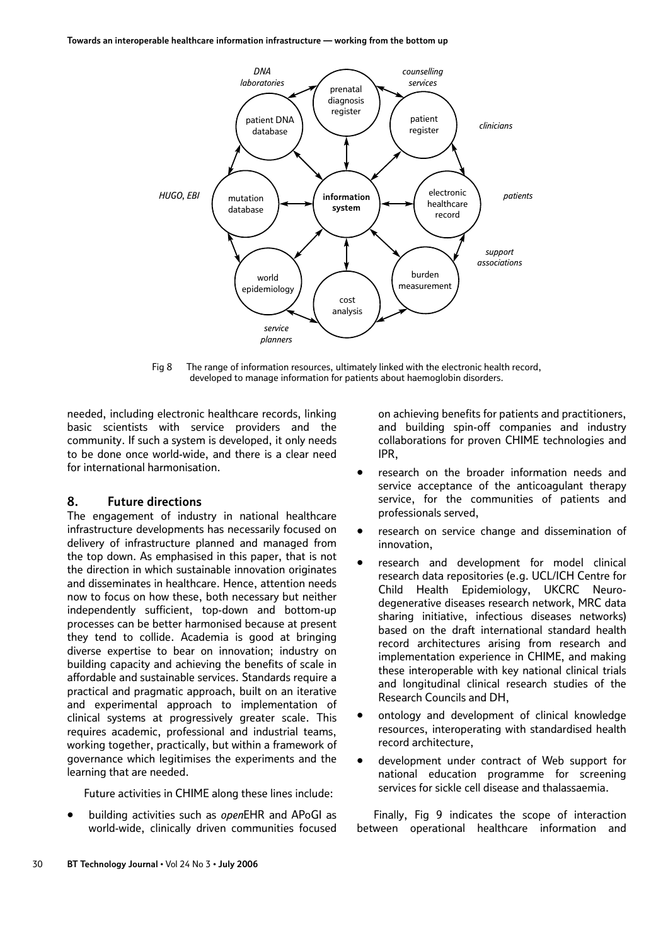**Towards an interoperable healthcare information infrastructure — working from the bottom up**



Fig 8 The range of information resources, ultimately linked with the electronic health record, developed to manage information for patients about haemoglobin disorders.

needed, including electronic healthcare records, linking basic scientists with service providers and the community. If such a system is developed, it only needs to be done once world-wide, and there is a clear need for international harmonisation.

#### **8. Future directions**

The engagement of industry in national healthcare infrastructure developments has necessarily focused on delivery of infrastructure planned and managed from the top down. As emphasised in this paper, that is not the direction in which sustainable innovation originates and disseminates in healthcare. Hence, attention needs now to focus on how these, both necessary but neither independently sufficient, top-down and bottom-up processes can be better harmonised because at present they tend to collide. Academia is good at bringing diverse expertise to bear on innovation; industry on building capacity and achieving the benefits of scale in affordable and sustainable services. Standards require a practical and pragmatic approach, built on an iterative and experimental approach to implementation of clinical systems at progressively greater scale. This requires academic, professional and industrial teams, working together, practically, but within a framework of governance which legitimises the experiments and the learning that are needed.

Future activities in CHIME along these lines include:

• building activities such as *open*EHR and APoGI as world-wide, clinically driven communities focused on achieving benefits for patients and practitioners, and building spin-off companies and industry collaborations for proven CHIME technologies and IPR,

- research on the broader information needs and service acceptance of the anticoagulant therapy service, for the communities of patients and professionals served,
- research on service change and dissemination of innovation,
- research and development for model clinical research data repositories (e.g. UCL/ICH Centre for Child Health Epidemiology, UKCRC Neurodegenerative diseases research network, MRC data sharing initiative, infectious diseases networks) based on the draft international standard health record architectures arising from research and implementation experience in CHIME, and making these interoperable with key national clinical trials and longitudinal clinical research studies of the Research Councils and DH,
- ontology and development of clinical knowledge resources, interoperating with standardised health record architecture,
- development under contract of Web support for national education programme for screening services for sickle cell disease and thalassaemia.

Finally, Fig 9 indicates the scope of interaction between operational healthcare information and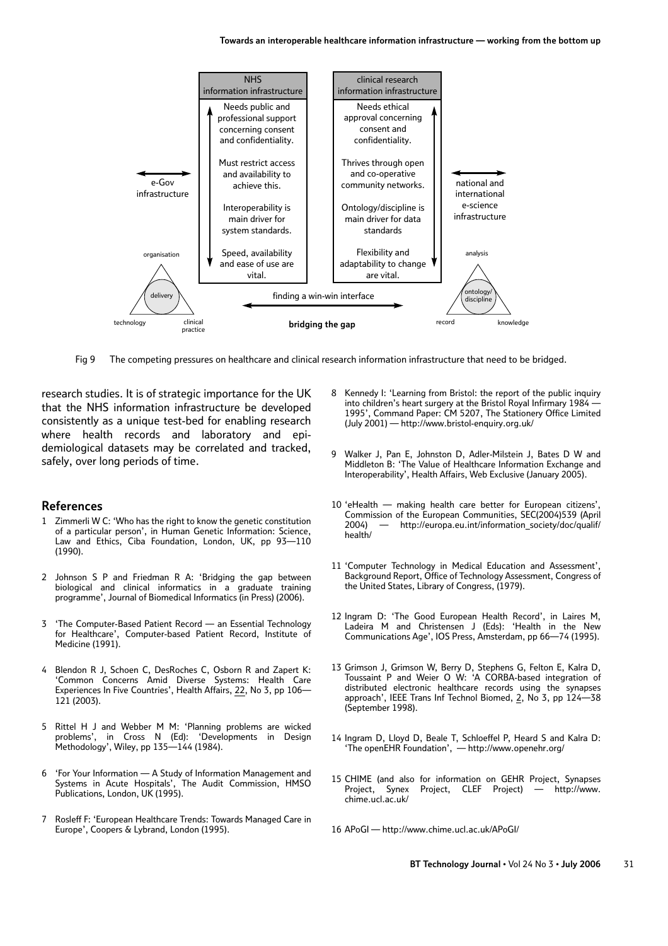

Fig 9 The competing pressures on healthcare and clinical research information infrastructure that need to be bridged.

research studies. It is of strategic importance for the UK that the NHS information infrastructure be developed consistently as a unique test-bed for enabling research where health records and laboratory and epidemiological datasets may be correlated and tracked, safely, over long periods of time.

#### **References**

- 1 Zimmerli W C: 'Who has the right to know the genetic constitution of a particular person', in Human Genetic Information: Science, Law and Ethics, Ciba Foundation, London, UK, pp 93—110 (1990).
- 2 Johnson S P and Friedman R A: 'Bridging the gap between biological and clinical informatics in a graduate training programme', Journal of Biomedical Informatics (in Press) (2006).
- 3 'The Computer-Based Patient Record an Essential Technology for Healthcare', Computer-based Patient Record, Institute of Medicine (1991).
- 4 Blendon R J, Schoen C, DesRoches C, Osborn R and Zapert K: 'Common Concerns Amid Diverse Systems: Health Care Experiences In Five Countries', Health Affairs, 22, No 3, pp 106-121 (2003).
- 5 Rittel H J and Webber M M: 'Planning problems are wicked problems', in Cross N (Ed): 'Developments in Design Methodology', Wiley, pp 135—144 (1984).
- 6 'For Your Information A Study of Information Management and Systems in Acute Hospitals', The Audit Commission, HMSO Publications, London, UK (1995).
- 7 Rosleff F: 'European Healthcare Trends: Towards Managed Care in Europe', Coopers & Lybrand, London (1995).
- 8 Kennedy I: 'Learning from Bristol: the report of the public inquiry into children's heart surgery at the Bristol Royal Infirmary 1984 -1995', Command Paper: CM 5207, The Stationery Office Limited (July 2001) — http://www.bristol-enquiry.org.uk/
- 9 Walker J, Pan E, Johnston D, Adler-Milstein J, Bates D W and Middleton B: 'The Value of Healthcare Information Exchange and Interoperability', Health Affairs, Web Exclusive (January 2005).
- 10 'eHealth making health care better for European citizens', Commission of the European Communities, SEC(2004)539 (April<br>2004) - http://europa.eu.int/information society/doc/qualif/ http://europa.eu.int/information\_society/doc/qualif/ health/
- 11 'Computer Technology in Medical Education and Assessment', Background Report, Office of Technology Assessment, Congress of the United States, Library of Congress, (1979).
- 12 Ingram D: 'The Good European Health Record', in Laires M, Ladeira M and Christensen J (Eds): 'Health in the New Communications Age', IOS Press, Amsterdam, pp 66—74 (1995).
- 13 Grimson J, Grimson W, Berry D, Stephens G, Felton E, Kalra D, Toussaint P and Weier O W: 'A CORBA-based integration of distributed electronic healthcare records using the synapses approach', IEEE Trans Inf Technol Biomed, 2, No 3, pp 124-38 (September 1998).
- 14 Ingram D, Lloyd D, Beale T, Schloeffel P, Heard S and Kalra D: 'The openEHR Foundation', — http://www.openehr.org/
- 15 CHIME (and also for information on GEHR Project, Synapses Project, Synex Project, CLEF Project) — http://www. chime.ucl.ac.uk/
- 16 APoGI http://www.chime.ucl.ac.uk/APoGI/